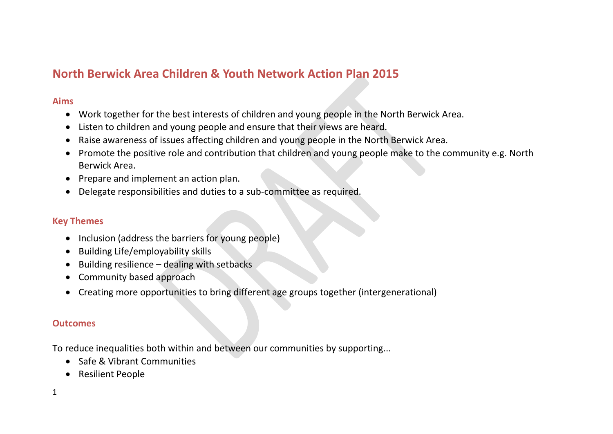# **North Berwick Area Children & Youth Network Action Plan 2015**

### **Aims**

- Work together for the best interests of children and young people in the North Berwick Area.
- Listen to children and young people and ensure that their views are heard.
- Raise awareness of issues affecting children and young people in the North Berwick Area.
- Promote the positive role and contribution that children and young people make to the community e.g. North Berwick Area.
- Prepare and implement an action plan.
- Delegate responsibilities and duties to a sub-committee as required.

### **Key Themes**

- Inclusion (address the barriers for young people)
- Building Life/employability skills
- $\bullet$  Building resilience dealing with setbacks
- Community based approach
- Creating more opportunities to bring different age groups together (intergenerational)

### **Outcomes**

To reduce inequalities both within and between our communities by supporting...

- Safe & Vibrant Communities
- Resilient People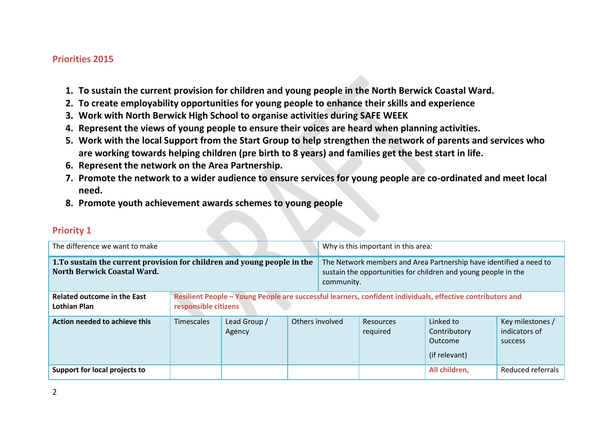#### **Priorities 2015**

- **1. To sustain the current provision for children and young people in the North Berwick Coastal Ward.**
- **2. To create employability opportunities for young people to enhance their skills and experience**
- **3. Work with North Berwick High School to organise activities during SAFE WEEK**
- **4. Represent the views of young people to ensure their voices are heard when planning activities.**
- **5. Work with the local Support from the Start Group to help strengthen the network of parents and services who are working towards helping children (pre birth to 8 years) and families get the best start in life.**
- **6. Represent the network on the Area Partnership.**
- **7. Promote the network to a wider audience to ensure services for young people are co-ordinated and meet local need.**
- **8. Promote youth achievement awards schemes to young people**

| The difference we want to make                                                                                 |                   |                                                                                                                                    |                 | Why is this important in this area:                                                                                                                |                       |                                                       |                                                     |
|----------------------------------------------------------------------------------------------------------------|-------------------|------------------------------------------------------------------------------------------------------------------------------------|-----------------|----------------------------------------------------------------------------------------------------------------------------------------------------|-----------------------|-------------------------------------------------------|-----------------------------------------------------|
| 1. To sustain the current provision for children and young people in the<br><b>North Berwick Coastal Ward.</b> |                   |                                                                                                                                    |                 | The Network members and Area Partnership have identified a need to<br>sustain the opportunities for children and young people in the<br>community. |                       |                                                       |                                                     |
| <b>Related outcome in the East</b><br><b>Lothian Plan</b>                                                      |                   | Resilient People - Young People are successful learners, confident individuals, effective contributors and<br>responsible citizens |                 |                                                                                                                                                    |                       |                                                       |                                                     |
| Action needed to achieve this                                                                                  | <b>Timescales</b> | Lead Group /<br>Agency                                                                                                             | Others involved |                                                                                                                                                    | Resources<br>required | Linked to<br>Contributory<br>Outcome<br>(if relevant) | Key milestones /<br>indicators of<br><b>SUCCESS</b> |
| Support for local projects to                                                                                  |                   |                                                                                                                                    |                 |                                                                                                                                                    |                       | All children,                                         | Reduced referrals                                   |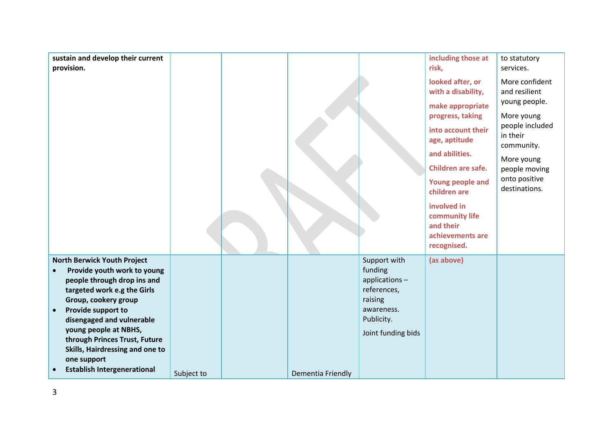| sustain and develop their current<br>provision.                                                                                                                                                                                                                                                                                                              |            |                   |                                                                                                                      | including those at<br>risk,                                                                                                                                                                                                                                                               | to statutory<br>services.                                                                                                                                                    |
|--------------------------------------------------------------------------------------------------------------------------------------------------------------------------------------------------------------------------------------------------------------------------------------------------------------------------------------------------------------|------------|-------------------|----------------------------------------------------------------------------------------------------------------------|-------------------------------------------------------------------------------------------------------------------------------------------------------------------------------------------------------------------------------------------------------------------------------------------|------------------------------------------------------------------------------------------------------------------------------------------------------------------------------|
|                                                                                                                                                                                                                                                                                                                                                              |            |                   |                                                                                                                      | looked after, or<br>with a disability,<br>make appropriate<br>progress, taking<br>into account their<br>age, aptitude<br>and abilities.<br>Children are safe.<br><b>Young people and</b><br>children are<br>involved in<br>community life<br>and their<br>achievements are<br>recognised. | More confident<br>and resilient<br>young people.<br>More young<br>people included<br>in their<br>community.<br>More young<br>people moving<br>onto positive<br>destinations. |
| <b>North Berwick Youth Project</b><br>Provide youth work to young<br>people through drop ins and<br>targeted work e.g the Girls<br>Group, cookery group<br>Provide support to<br>disengaged and vulnerable<br>young people at NBHS,<br>through Princes Trust, Future<br>Skills, Hairdressing and one to<br>one support<br><b>Establish Intergenerational</b> | Subject to | Dementia Friendly | Support with<br>funding<br>applications-<br>references,<br>raising<br>awareness.<br>Publicity.<br>Joint funding bids | (as above)                                                                                                                                                                                                                                                                                |                                                                                                                                                                              |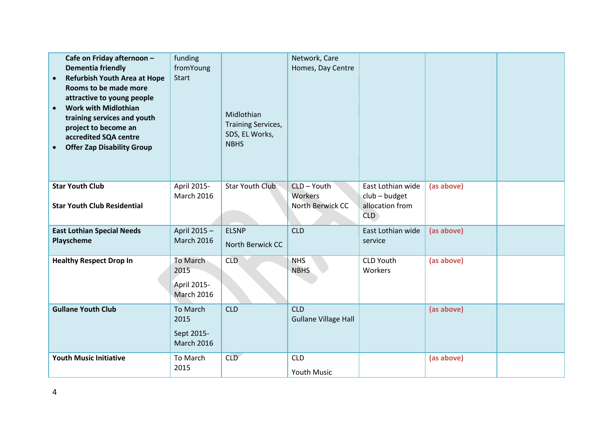| Cafe on Friday afternoon -<br><b>Dementia friendly</b><br><b>Refurbish Youth Area at Hope</b><br>$\bullet$<br>Rooms to be made more<br>attractive to young people<br><b>Work with Midlothian</b><br>$\bullet$<br>training services and youth<br>project to become an<br>accredited SQA centre<br><b>Offer Zap Disability Group</b> | funding<br>fromYoung<br>Start                        | Midlothian<br><b>Training Services,</b><br>SDS, EL Works,<br><b>NBHS</b> | Network, Care<br>Homes, Day Centre         |                                                                |            |  |
|------------------------------------------------------------------------------------------------------------------------------------------------------------------------------------------------------------------------------------------------------------------------------------------------------------------------------------|------------------------------------------------------|--------------------------------------------------------------------------|--------------------------------------------|----------------------------------------------------------------|------------|--|
| <b>Star Youth Club</b><br><b>Star Youth Club Residential</b>                                                                                                                                                                                                                                                                       | April 2015-<br><b>March 2016</b>                     | <b>Star Youth Club</b>                                                   | CLD - Youth<br>Workers<br>North Berwick CC | East Lothian wide<br>$club - budget$<br>allocation from<br>CLD | (as above) |  |
| <b>East Lothian Special Needs</b><br>Playscheme                                                                                                                                                                                                                                                                                    | April 2015-<br><b>March 2016</b>                     | <b>ELSNP</b><br>North Berwick CC                                         | <b>CLD</b>                                 | East Lothian wide<br>service                                   | (as above) |  |
| <b>Healthy Respect Drop In</b>                                                                                                                                                                                                                                                                                                     | To March<br>2015<br>April 2015-<br><b>March 2016</b> | <b>CLD</b>                                                               | <b>NHS</b><br><b>NBHS</b>                  | <b>CLD Youth</b><br>Workers                                    | (as above) |  |
| <b>Gullane Youth Club</b>                                                                                                                                                                                                                                                                                                          | To March<br>2015<br>Sept 2015-<br><b>March 2016</b>  | <b>CLD</b>                                                               | <b>CLD</b><br><b>Gullane Village Hall</b>  |                                                                | (as above) |  |
| <b>Youth Music Initiative</b>                                                                                                                                                                                                                                                                                                      | To March<br>2015                                     | <b>CLD</b>                                                               | <b>CLD</b><br>Youth Music                  |                                                                | (as above) |  |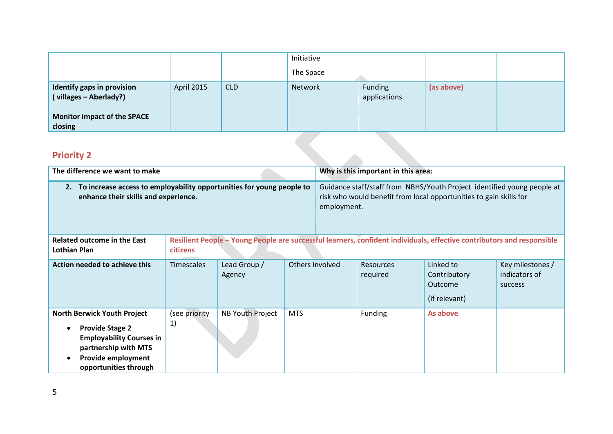|                                                             |            |            | Initiative |                         |            |  |
|-------------------------------------------------------------|------------|------------|------------|-------------------------|------------|--|
|                                                             |            |            | The Space  |                         |            |  |
| <b>Identify gaps in provision</b><br>(villages - Aberlady?) | April 2015 | <b>CLD</b> | Network    | Funding<br>applications | (as above) |  |
| Monitor impact of the SPACE<br>closing                      |            |            |            |                         |            |  |

| <b>CIOSING</b>                                                                                                                                                                      |                     |                         |                 |                                                                                                                                                              |                                     |                                                                                                                        |                                                     |  |  |
|-------------------------------------------------------------------------------------------------------------------------------------------------------------------------------------|---------------------|-------------------------|-----------------|--------------------------------------------------------------------------------------------------------------------------------------------------------------|-------------------------------------|------------------------------------------------------------------------------------------------------------------------|-----------------------------------------------------|--|--|
| <b>Priority 2</b>                                                                                                                                                                   |                     |                         |                 |                                                                                                                                                              |                                     |                                                                                                                        |                                                     |  |  |
| The difference we want to make                                                                                                                                                      |                     |                         |                 |                                                                                                                                                              | Why is this important in this area: |                                                                                                                        |                                                     |  |  |
| To increase access to employability opportunities for young people to<br>2.<br>enhance their skills and experience.                                                                 |                     |                         |                 | Guidance staff/staff from NBHS/Youth Project identified young people at<br>risk who would benefit from local opportunities to gain skills for<br>employment. |                                     |                                                                                                                        |                                                     |  |  |
| <b>Related outcome in the East</b><br><b>Lothian Plan</b>                                                                                                                           | citizens            |                         |                 |                                                                                                                                                              |                                     | Resilient People - Young People are successful learners, confident individuals, effective contributors and responsible |                                                     |  |  |
| Action needed to achieve this                                                                                                                                                       | <b>Timescales</b>   | Lead Group /<br>Agency  | Others involved |                                                                                                                                                              | <b>Resources</b><br>required        | Linked to<br>Contributory<br>Outcome<br>(if relevant)                                                                  | Key milestones /<br>indicators of<br><b>SUCCESS</b> |  |  |
| <b>North Berwick Youth Project</b><br><b>Provide Stage 2</b><br>$\bullet$<br><b>Employability Courses in</b><br>partnership with MTS<br>Provide employment<br>opportunities through | (see priority<br>1) | <b>NB Youth Project</b> | <b>MTS</b>      |                                                                                                                                                              | Funding                             | As above                                                                                                               |                                                     |  |  |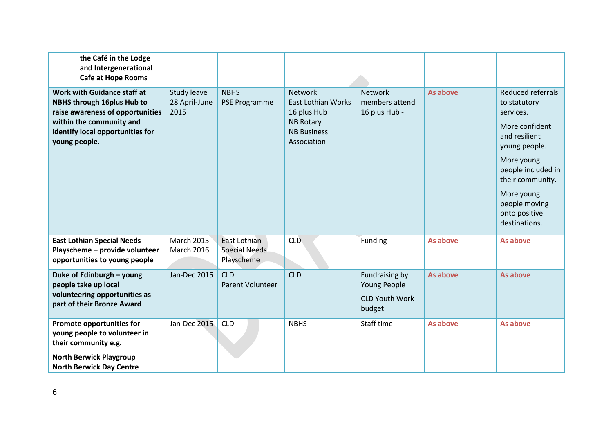| the Café in the Lodge<br>and Intergenerational<br><b>Cafe at Hope Rooms</b>                                                                                                           |                                      |                                                    |                                                                                                              |                                                                   |          |                                                                                                                                                                                                                             |
|---------------------------------------------------------------------------------------------------------------------------------------------------------------------------------------|--------------------------------------|----------------------------------------------------|--------------------------------------------------------------------------------------------------------------|-------------------------------------------------------------------|----------|-----------------------------------------------------------------------------------------------------------------------------------------------------------------------------------------------------------------------------|
| Work with Guidance staff at<br><b>NBHS through 16plus Hub to</b><br>raise awareness of opportunities<br>within the community and<br>identify local opportunities for<br>young people. | Study leave<br>28 April-June<br>2015 | <b>NBHS</b><br><b>PSE Programme</b>                | Network<br><b>East Lothian Works</b><br>16 plus Hub<br><b>NB Rotary</b><br><b>NB Business</b><br>Association | Network<br>members attend<br>16 plus Hub -                        | As above | Reduced referrals<br>to statutory<br>services.<br>More confident<br>and resilient<br>young people.<br>More young<br>people included in<br>their community.<br>More young<br>people moving<br>onto positive<br>destinations. |
| <b>East Lothian Special Needs</b><br>Playscheme - provide volunteer<br>opportunities to young people                                                                                  | March 2015-<br><b>March 2016</b>     | East Lothian<br><b>Special Needs</b><br>Playscheme | <b>CLD</b>                                                                                                   | Funding                                                           | As above | As above                                                                                                                                                                                                                    |
| Duke of Edinburgh - young<br>people take up local<br>volunteering opportunities as<br>part of their Bronze Award                                                                      | Jan-Dec 2015                         | <b>CLD</b><br>Parent Volunteer                     | <b>CLD</b>                                                                                                   | Fundraising by<br>Young People<br><b>CLD Youth Work</b><br>budget | As above | As above                                                                                                                                                                                                                    |
| Promote opportunities for<br>young people to volunteer in<br>their community e.g.<br><b>North Berwick Playgroup</b><br><b>North Berwick Day Centre</b>                                | Jan-Dec 2015                         | <b>CLD</b>                                         | <b>NBHS</b>                                                                                                  | Staff time                                                        | As above | As above                                                                                                                                                                                                                    |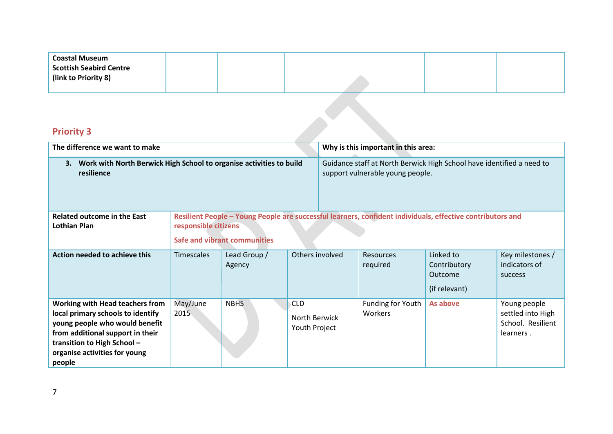| <b>Coastal Museum</b>          |  |  |  |
|--------------------------------|--|--|--|
| <b>Scottish Seabird Centre</b> |  |  |  |
| (link to Priority 8)           |  |  |  |
|                                |  |  |  |

| The difference we want to make                                                                                                                                                                                              |                                                                                                                                                                           |                        |                                              |                                                                                                           | Why is this important in this area: |                                                       |                                                                     |
|-----------------------------------------------------------------------------------------------------------------------------------------------------------------------------------------------------------------------------|---------------------------------------------------------------------------------------------------------------------------------------------------------------------------|------------------------|----------------------------------------------|-----------------------------------------------------------------------------------------------------------|-------------------------------------|-------------------------------------------------------|---------------------------------------------------------------------|
| Work with North Berwick High School to organise activities to build<br>3.<br>resilience                                                                                                                                     |                                                                                                                                                                           |                        |                                              | Guidance staff at North Berwick High School have identified a need to<br>support vulnerable young people. |                                     |                                                       |                                                                     |
| <b>Related outcome in the East</b><br><b>Lothian Plan</b>                                                                                                                                                                   | Resilient People - Young People are successful learners, confident individuals, effective contributors and<br>responsible citizens<br><b>Safe and vibrant communities</b> |                        |                                              |                                                                                                           |                                     |                                                       |                                                                     |
| Action needed to achieve this                                                                                                                                                                                               | <b>Timescales</b>                                                                                                                                                         | Lead Group /<br>Agency | Others involved                              |                                                                                                           | <b>Resources</b><br>required        | Linked to<br>Contributory<br>Outcome<br>(if relevant) | Key milestones /<br>indicators of<br>success                        |
| <b>Working with Head teachers from</b><br>local primary schools to identify<br>young people who would benefit<br>from additional support in their<br>transition to High School -<br>organise activities for young<br>people | May/June<br>2015                                                                                                                                                          | <b>NBHS</b>            | <b>CLD</b><br>North Berwick<br>Youth Project |                                                                                                           | <b>Funding for Youth</b><br>Workers | As above                                              | Young people<br>settled into High<br>School. Resilient<br>learners. |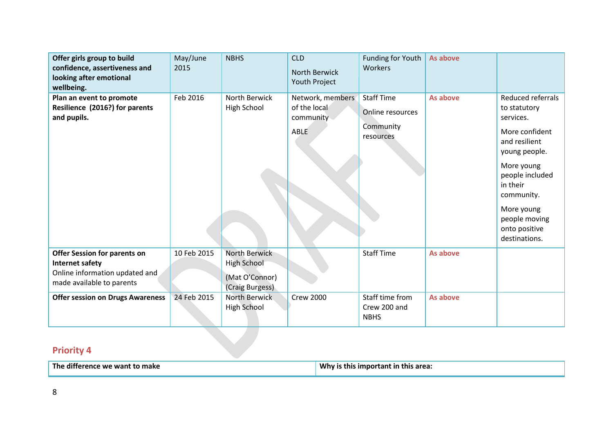| Offer girls group to build<br>confidence, assertiveness and<br>looking after emotional<br>wellbeing.                                                                    | May/June<br>2015           | <b>NBHS</b>                                                                                      | <b>CLD</b><br>North Berwick<br>Youth Project                 | Funding for Youth<br>Workers                                    | As above             |                                                                                                                                                                                                                                |
|-------------------------------------------------------------------------------------------------------------------------------------------------------------------------|----------------------------|--------------------------------------------------------------------------------------------------|--------------------------------------------------------------|-----------------------------------------------------------------|----------------------|--------------------------------------------------------------------------------------------------------------------------------------------------------------------------------------------------------------------------------|
| Plan an event to promote<br>Resilience (2016?) for parents<br>and pupils.                                                                                               | Feb 2016                   | <b>North Berwick</b><br>High School                                                              | Network, members<br>of the local<br>community<br><b>ABLE</b> | <b>Staff Time</b><br>Online resources<br>Community<br>resources | As above             | Reduced referrals<br>to statutory<br>services.<br>More confident<br>and resilient<br>young people.<br>More young<br>people included<br>in their<br>community.<br>More young<br>people moving<br>onto positive<br>destinations. |
| <b>Offer Session for parents on</b><br><b>Internet safety</b><br>Online information updated and<br>made available to parents<br><b>Offer session on Drugs Awareness</b> | 10 Feb 2015<br>24 Feb 2015 | North Berwick<br><b>High School</b><br>(Mat O'Connor)<br>(Craig Burgess)<br><b>North Berwick</b> | <b>Crew 2000</b>                                             | <b>Staff Time</b><br>Staff time from                            | As above<br>As above |                                                                                                                                                                                                                                |
|                                                                                                                                                                         |                            | High School                                                                                      |                                                              | Crew 200 and<br><b>NBHS</b>                                     |                      |                                                                                                                                                                                                                                |

| The difference we want to make | Why is this important in this area: |
|--------------------------------|-------------------------------------|
|                                |                                     |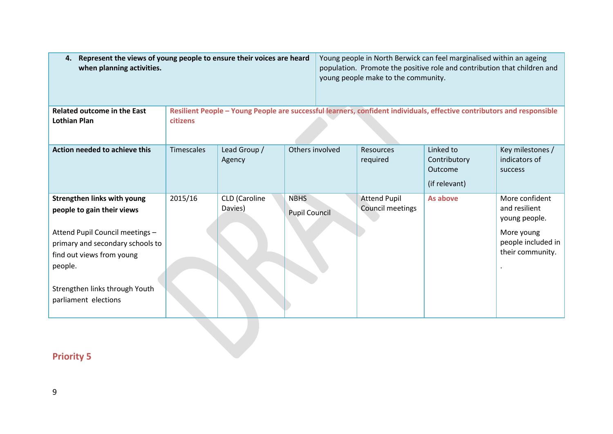| Represent the views of young people to ensure their voices are heard<br>4.<br>when planning activities. |                   |                                                                                                                        |                                     |  | young people make to the community.     | Young people in North Berwick can feel marginalised within an ageing<br>population. Promote the positive role and contribution that children and |                                                      |  |
|---------------------------------------------------------------------------------------------------------|-------------------|------------------------------------------------------------------------------------------------------------------------|-------------------------------------|--|-----------------------------------------|--------------------------------------------------------------------------------------------------------------------------------------------------|------------------------------------------------------|--|
| <b>Related outcome in the East</b><br>Lothian Plan                                                      | <b>citizens</b>   | Resilient People - Young People are successful learners, confident individuals, effective contributors and responsible |                                     |  |                                         |                                                                                                                                                  |                                                      |  |
|                                                                                                         |                   |                                                                                                                        |                                     |  |                                         |                                                                                                                                                  |                                                      |  |
| Action needed to achieve this                                                                           | <b>Timescales</b> | Lead Group /<br>Agency                                                                                                 | Others involved                     |  | <b>Resources</b><br>required            | Linked to<br>Contributory<br>Outcome<br>(if relevant)                                                                                            | Key milestones /<br>indicators of<br>success         |  |
| <b>Strengthen links with young</b><br>people to gain their views                                        | 2015/16           | CLD (Caroline<br>Davies)                                                                                               | <b>NBHS</b><br><b>Pupil Council</b> |  | <b>Attend Pupil</b><br>Council meetings | As above                                                                                                                                         | More confident<br>and resilient<br>young people.     |  |
| Attend Pupil Council meetings -<br>primary and secondary schools to                                     |                   |                                                                                                                        |                                     |  |                                         |                                                                                                                                                  | More young<br>people included in<br>their community. |  |
| find out views from young<br>people.                                                                    |                   |                                                                                                                        |                                     |  |                                         |                                                                                                                                                  |                                                      |  |
| Strengthen links through Youth<br>parliament elections                                                  |                   |                                                                                                                        |                                     |  |                                         |                                                                                                                                                  |                                                      |  |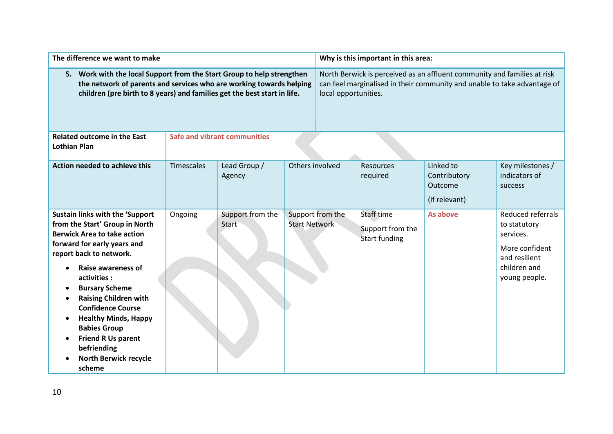| The difference we want to make                                                                                                                                                                                                                                                                                                                                                                                                                 |                   |                                  |                                                                                                                                                                              | Why is this important in this area: |                                                        |                                                       |                                                                                                                    |  |
|------------------------------------------------------------------------------------------------------------------------------------------------------------------------------------------------------------------------------------------------------------------------------------------------------------------------------------------------------------------------------------------------------------------------------------------------|-------------------|----------------------------------|------------------------------------------------------------------------------------------------------------------------------------------------------------------------------|-------------------------------------|--------------------------------------------------------|-------------------------------------------------------|--------------------------------------------------------------------------------------------------------------------|--|
| 5. Work with the local Support from the Start Group to help strengthen<br>the network of parents and services who are working towards helping<br>children (pre birth to 8 years) and families get the best start in life.                                                                                                                                                                                                                      |                   |                                  | North Berwick is perceived as an affluent community and families at risk<br>can feel marginalised in their community and unable to take advantage of<br>local opportunities. |                                     |                                                        |                                                       |                                                                                                                    |  |
| <b>Related outcome in the East</b><br><b>Lothian Plan</b>                                                                                                                                                                                                                                                                                                                                                                                      |                   | Safe and vibrant communities     |                                                                                                                                                                              |                                     |                                                        |                                                       |                                                                                                                    |  |
| <b>Action needed to achieve this</b>                                                                                                                                                                                                                                                                                                                                                                                                           | <b>Timescales</b> | Lead Group /<br>Agency           | Others involved                                                                                                                                                              |                                     | Resources<br>required                                  | Linked to<br>Contributory<br>Outcome<br>(if relevant) | Key milestones /<br>indicators of<br>success                                                                       |  |
| <b>Sustain links with the 'Support</b><br>from the Start' Group in North<br><b>Berwick Area to take action</b><br>forward for early years and<br>report back to network.<br>Raise awareness of<br>activities:<br><b>Bursary Scheme</b><br><b>Raising Children with</b><br><b>Confidence Course</b><br><b>Healthy Minds, Happy</b><br><b>Babies Group</b><br><b>Friend R Us parent</b><br>befriending<br><b>North Berwick recycle</b><br>scheme | Ongoing           | Support from the<br><b>Start</b> | <b>Start Network</b>                                                                                                                                                         | Support from the                    | Staff time<br>Support from the<br><b>Start funding</b> | As above                                              | Reduced referrals<br>to statutory<br>services.<br>More confident<br>and resilient<br>children and<br>young people. |  |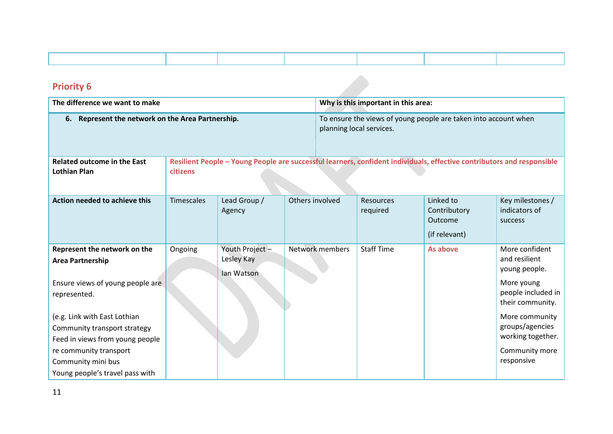| <b>Priority 6</b>                                                                                                                                                                                                                                                                                 |                                                                                                                                    |                                             |                 |                                                                                             |                              |                                                       |                                                                                                                                                                                                    |  |
|---------------------------------------------------------------------------------------------------------------------------------------------------------------------------------------------------------------------------------------------------------------------------------------------------|------------------------------------------------------------------------------------------------------------------------------------|---------------------------------------------|-----------------|---------------------------------------------------------------------------------------------|------------------------------|-------------------------------------------------------|----------------------------------------------------------------------------------------------------------------------------------------------------------------------------------------------------|--|
| The difference we want to make                                                                                                                                                                                                                                                                    |                                                                                                                                    |                                             |                 | Why is this important in this area:                                                         |                              |                                                       |                                                                                                                                                                                                    |  |
| 6. Represent the network on the Area Partnership.                                                                                                                                                                                                                                                 |                                                                                                                                    |                                             |                 | To ensure the views of young people are taken into account when<br>planning local services. |                              |                                                       |                                                                                                                                                                                                    |  |
| <b>Related outcome in the East</b><br><b>Lothian Plan</b>                                                                                                                                                                                                                                         | Resilient People - Young People are successful learners, confident individuals, effective contributors and responsible<br>citizens |                                             |                 |                                                                                             |                              |                                                       |                                                                                                                                                                                                    |  |
| <b>Action needed to achieve this</b>                                                                                                                                                                                                                                                              | <b>Timescales</b>                                                                                                                  | Lead Group /<br>Agency                      | Others involved |                                                                                             | <b>Resources</b><br>required | Linked to<br>Contributory<br>Outcome<br>(if relevant) | Key milestones /<br>indicators of<br>success                                                                                                                                                       |  |
| Represent the network on the<br><b>Area Partnership</b><br>Ensure views of young people are<br>represented.<br>(e.g. Link with East Lothian<br>Community transport strategy<br>Feed in views from young people<br>re community transport<br>Community mini bus<br>Young people's travel pass with | Ongoing                                                                                                                            | Youth Project -<br>Lesley Kay<br>lan Watson |                 | Network members                                                                             | <b>Staff Time</b>            | As above                                              | More confident<br>and resilient<br>young people.<br>More young<br>people included in<br>their community.<br>More community<br>groups/agencies<br>working together.<br>Community more<br>responsive |  |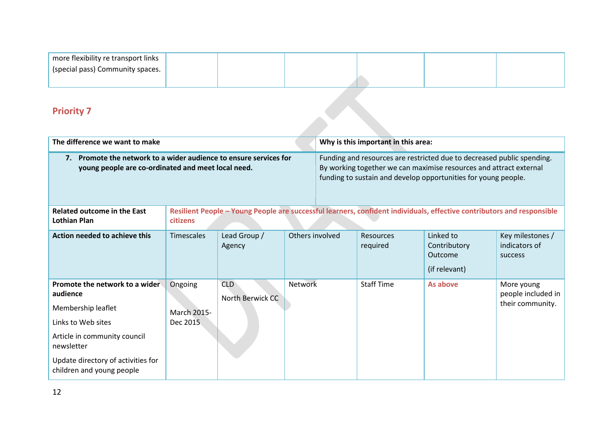| more flexibility re transport links |  |  |  |
|-------------------------------------|--|--|--|
| (special pass) Community spaces.    |  |  |  |
|                                     |  |  |  |

| The difference we want to make                                                                                             |                                                                                                                                    |                                |                 | Why is this important in this area:                                                                                                                                                                            |                       |                                                       |                                              |
|----------------------------------------------------------------------------------------------------------------------------|------------------------------------------------------------------------------------------------------------------------------------|--------------------------------|-----------------|----------------------------------------------------------------------------------------------------------------------------------------------------------------------------------------------------------------|-----------------------|-------------------------------------------------------|----------------------------------------------|
| Promote the network to a wider audience to ensure services for<br>7.<br>young people are co-ordinated and meet local need. |                                                                                                                                    |                                |                 | Funding and resources are restricted due to decreased public spending.<br>By working together we can maximise resources and attract external<br>funding to sustain and develop opportunities for young people. |                       |                                                       |                                              |
| <b>Related outcome in the East</b><br><b>Lothian Plan</b>                                                                  | Resilient People - Young People are successful learners, confident individuals, effective contributors and responsible<br>citizens |                                |                 |                                                                                                                                                                                                                |                       |                                                       |                                              |
| Action needed to achieve this                                                                                              | <b>Timescales</b>                                                                                                                  | Lead Group /<br>Agency         | Others involved |                                                                                                                                                                                                                | Resources<br>required | Linked to<br>Contributory<br>Outcome<br>(if relevant) | Key milestones /<br>indicators of<br>success |
| Promote the network to a wider<br>audience                                                                                 | Ongoing                                                                                                                            | <b>CLD</b><br>North Berwick CC | <b>Network</b>  |                                                                                                                                                                                                                | <b>Staff Time</b>     | As above                                              | More young<br>people included in             |
| Membership leaflet                                                                                                         | <b>March 2015-</b>                                                                                                                 |                                |                 |                                                                                                                                                                                                                |                       |                                                       | their community.                             |
| Links to Web sites                                                                                                         | Dec 2015                                                                                                                           |                                |                 |                                                                                                                                                                                                                |                       |                                                       |                                              |
| Article in community council<br>newsletter                                                                                 |                                                                                                                                    |                                |                 |                                                                                                                                                                                                                |                       |                                                       |                                              |
| Update directory of activities for<br>children and young people                                                            |                                                                                                                                    |                                |                 |                                                                                                                                                                                                                |                       |                                                       |                                              |